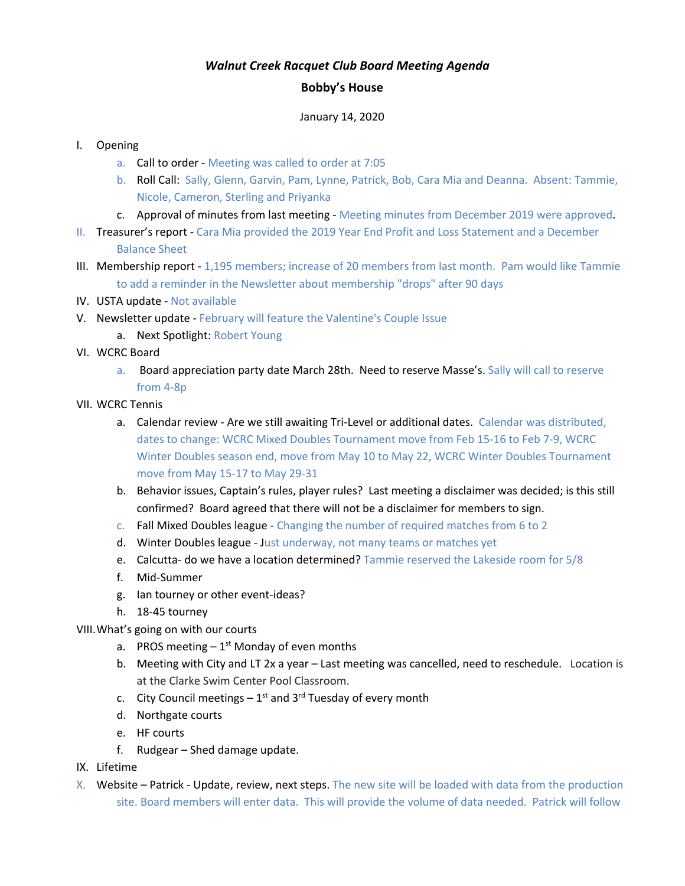## *Walnut Creek Racquet Club Board Meeting Agenda*

## **Bobby's House**

## January 14, 2020

## I. Opening

- a. Call to order Meeting was called to order at 7:05
- b. Roll Call: Sally, Glenn, Garvin, Pam, Lynne, Patrick, Bob, Cara Mia and Deanna. Absent: Tammie, Nicole, Cameron, Sterling and Priyanka
- c. Approval of minutes from last meeting Meeting minutes from December 2019 were approved.
- II. Treasurer's report Cara Mia provided the 2019 Year End Profit and Loss Statement and a December Balance Sheet
- III. Membership report 1,195 members; increase of 20 members from last month. Pam would like Tammie to add a reminder in the Newsletter about membership "drops" after 90 days
- IV. USTA update Not available
- V. Newsletter update February will feature the Valentine's Couple Issue
	- a. Next Spotlight: Robert Young
- VI. WCRC Board
	- a. Board appreciation party date March 28th. Need to reserve Masse's. Sally will call to reserve from 4-8p
- VII. WCRC Tennis
	- a. Calendar review Are we still awaiting Tri-Level or additional dates. Calendar was distributed, dates to change: WCRC Mixed Doubles Tournament move from Feb 15-16 to Feb 7-9, WCRC Winter Doubles season end, move from May 10 to May 22, WCRC Winter Doubles Tournament move from May 15-17 to May 29-31
	- b. Behavior issues, Captain's rules, player rules? Last meeting a disclaimer was decided; is this still confirmed? Board agreed that there will not be a disclaimer for members to sign.
	- c. Fall Mixed Doubles league Changing the number of required matches from 6 to 2
	- d. Winter Doubles league Just underway, not many teams or matches yet
	- e. Calcutta- do we have a location determined? Tammie reserved the Lakeside room for 5/8
	- f. Mid-Summer
	- g. Ian tourney or other event-ideas?
	- h. 18-45 tourney

VIII.What's going on with our courts

- a. PROS meeting  $-1<sup>st</sup>$  Monday of even months
- b. Meeting with City and LT 2x a year Last meeting was cancelled, need to reschedule. Location is at the Clarke Swim Center Pool Classroom.
- c. City Council meetings  $-1^{st}$  and 3<sup>rd</sup> Tuesday of every month
- d. Northgate courts
- e. HF courts
- f. Rudgear Shed damage update.
- IX. Lifetime
- X. Website Patrick Update, review, next steps. The new site will be loaded with data from the production site. Board members will enter data. This will provide the volume of data needed. Patrick will follow